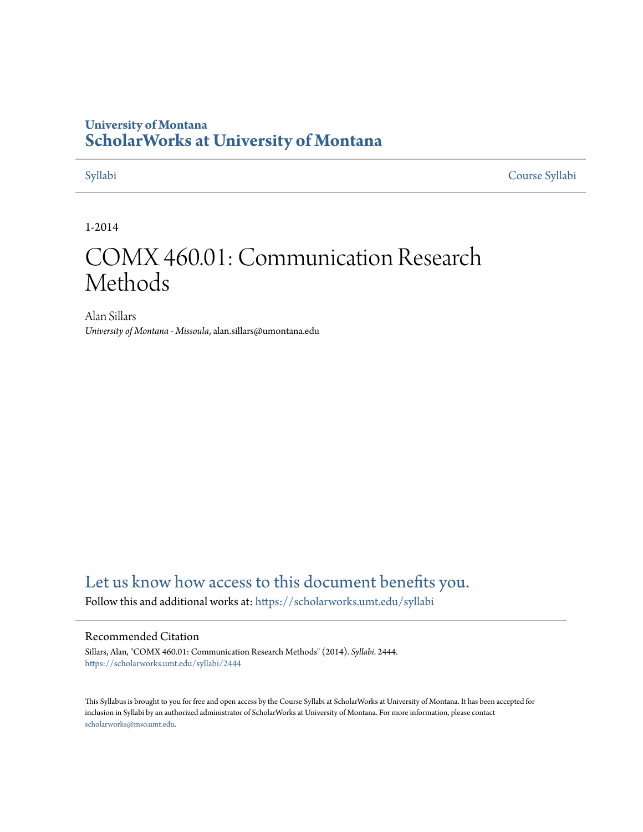## **University of Montana [ScholarWorks at University of Montana](https://scholarworks.umt.edu?utm_source=scholarworks.umt.edu%2Fsyllabi%2F2444&utm_medium=PDF&utm_campaign=PDFCoverPages)**

[Syllabi](https://scholarworks.umt.edu/syllabi?utm_source=scholarworks.umt.edu%2Fsyllabi%2F2444&utm_medium=PDF&utm_campaign=PDFCoverPages) [Course Syllabi](https://scholarworks.umt.edu/course_syllabi?utm_source=scholarworks.umt.edu%2Fsyllabi%2F2444&utm_medium=PDF&utm_campaign=PDFCoverPages)

1-2014

# COMX 460.01: Communication Research Methods

Alan Sillars *University of Montana - Missoula*, alan.sillars@umontana.edu

# [Let us know how access to this document benefits you.](https://goo.gl/forms/s2rGfXOLzz71qgsB2)

Follow this and additional works at: [https://scholarworks.umt.edu/syllabi](https://scholarworks.umt.edu/syllabi?utm_source=scholarworks.umt.edu%2Fsyllabi%2F2444&utm_medium=PDF&utm_campaign=PDFCoverPages)

#### Recommended Citation

Sillars, Alan, "COMX 460.01: Communication Research Methods" (2014). *Syllabi*. 2444. [https://scholarworks.umt.edu/syllabi/2444](https://scholarworks.umt.edu/syllabi/2444?utm_source=scholarworks.umt.edu%2Fsyllabi%2F2444&utm_medium=PDF&utm_campaign=PDFCoverPages)

This Syllabus is brought to you for free and open access by the Course Syllabi at ScholarWorks at University of Montana. It has been accepted for inclusion in Syllabi by an authorized administrator of ScholarWorks at University of Montana. For more information, please contact [scholarworks@mso.umt.edu](mailto:scholarworks@mso.umt.edu).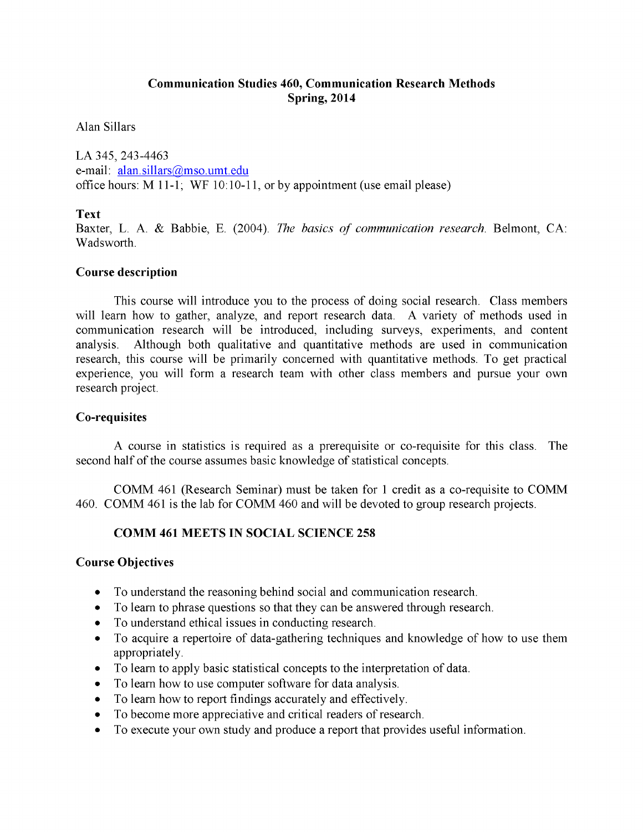### **Communication Studies 460, Communication Research Methods Spring, 2014**

Alan Sillars

LA 345, 243-4463 e-mail: alan.sillars@mso.umt.edu office hours: M 11-1; WF 10:10-11, or by appointment (use email please)

#### **Text**

Baxter, L. A. & Babbie, E. (2004). *The basics of communication research*. Belmont, CA: Wadsworth.

#### **Course description**

This course will introduce you to the process of doing social research. Class members will learn how to gather, analyze, and report research data. A variety of methods used in communication research will be introduced, including surveys, experiments, and content analysis. Although both qualitative and quantitative methods are used in communication research, this course will be primarily concerned with quantitative methods. To get practical experience, you will form a research team with other class members and pursue your own research project.

#### **Co-requisites**

A course in statistics is required as a prerequisite or co-requisite for this class. The second half of the course assumes basic knowledge of statistical concepts.

COMM 461 (Research Seminar) must be taken for 1 credit as a co-requisite to COMM 460. COMM 461 is the lab for COMM 460 and will be devoted to group research projects.

#### **COMM 461 MEETS IN SOCIAL SCIENCE 258**

#### **Course Objectives**

- To understand the reasoning behind social and communication research.
- To learn to phrase questions so that they can be answered through research.
- To understand ethical issues in conducting research.
- To acquire a repertoire of data-gathering techniques and knowledge of how to use them appropriately.
- To learn to apply basic statistical concepts to the interpretation of data.
- To learn how to use computer software for data analysis.
- To learn how to report findings accurately and effectively.
- To become more appreciative and critical readers of research.
- To execute your own study and produce a report that provides useful information.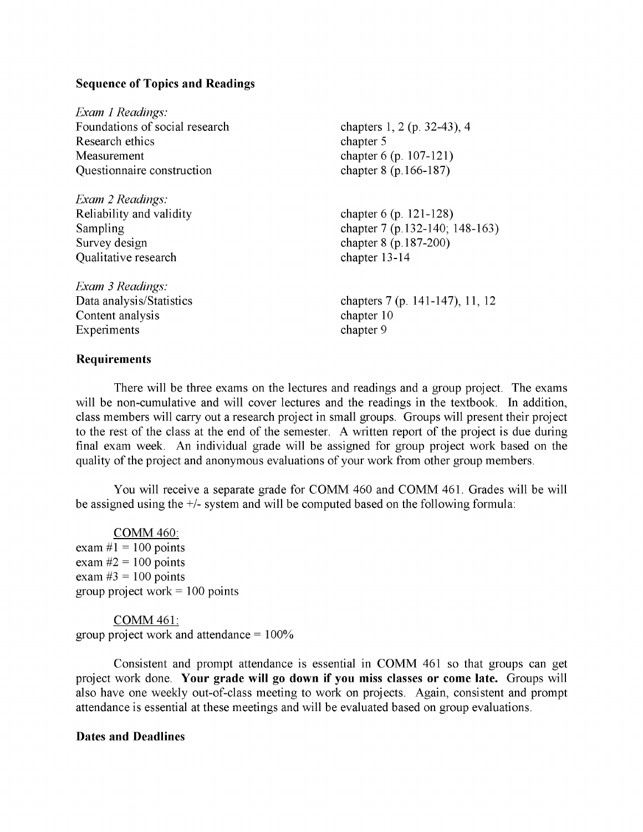#### **Sequence of Topics and Readings**

| Exam 1 Readings:               |                                 |
|--------------------------------|---------------------------------|
| Foundations of social research | chapters 1, 2 (p. 32-43), 4     |
| Research ethics                | chapter 5                       |
| Measurement                    | chapter 6 (p. 107-121)          |
| Questionnaire construction     | chapter 8 (p.166-187)           |
| Exam 2 Readings:               |                                 |
| Reliability and validity       | chapter 6 (p. 121-128)          |
| Sampling                       | chapter 7 (p.132-140; 148-163)  |
| Survey design                  | chapter 8 (p.187-200)           |
| Qualitative research           | chapter 13-14                   |
| Exam 3 Readings:               |                                 |
| Data analysis/Statistics       | chapters 7 (p. 141-147), 11, 12 |
| Content analysis               | chapter 10                      |
| Experiments                    | chapter 9                       |
|                                |                                 |

#### **Requirements**

There will be three exams on the lectures and readings and a group project. The exams will be non-cumulative and will cover lectures and the readings in the textbook. In addition, class members will carry out a research project in small groups. Groups will present their project to the rest of the class at the end of the semester. A written report of the project is due during final exam week. An individual grade will be assigned for group project work based on the quality of the project and anonymous evaluations of your work from other group members.

You will receive a separate grade for COMM 460 and COMM 461. Grades will be will be assigned using the +/- system and will be computed based on the following formula:

COMM 460: exam  $\#1 = 100$  points exam *#2 =* 100 points exam  $#3 = 100$  points group project work  $=100$  points

COMM 461: group project work and attendance  $= 100\%$ 

Consistent and prompt attendance is essential in COMM 461 so that groups can get project work done. **Your grade will go down if you miss classes or come late.** Groups will also have one weekly out-of-class meeting to work on projects. Again, consistent and prompt attendance is essential at these meetings and will be evaluated based on group evaluations.

#### **Dates and Deadlines**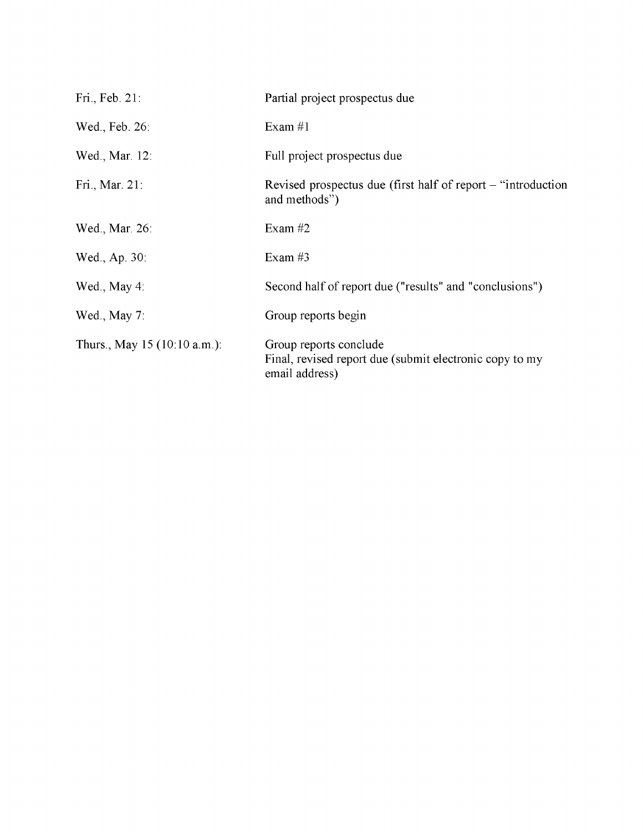| Fri., Feb. 21:                          | Partial project prospectus due                                                                      |
|-----------------------------------------|-----------------------------------------------------------------------------------------------------|
| Wed., Feb. 26:                          | Exam $#1$                                                                                           |
| Wed., Mar. 12:                          | Full project prospectus due                                                                         |
| Fri., Mar. 21:                          | Revised prospectus due (first half of report – "introduction"<br>and methods")                      |
| Wed., Mar. 26:                          | Exam $#2$                                                                                           |
| Wed., Ap. 30:                           | Exam $#3$                                                                                           |
| Wed., May 4:                            | Second half of report due ("results" and "conclusions")                                             |
| Wed., May $7$ :                         | Group reports begin                                                                                 |
| Thurs., May 15 $(10:10 \text{ a.m.})$ : | Group reports conclude<br>Final, revised report due (submit electronic copy to my<br>email address) |